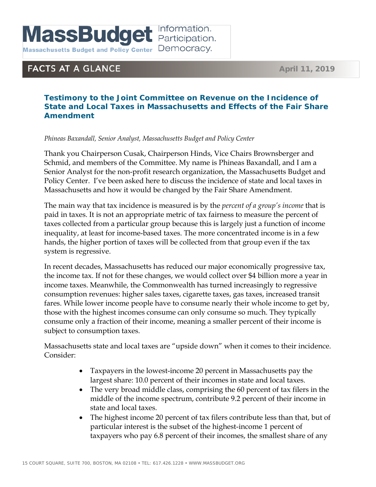**MassBudget <u>Participation.</u>** 

Massachusetts Budget and Policy Center Democracy.

## **FACTS AT A GLANCE**

## **Testimony to the Joint Committee on Revenue on the Incidence of State and Local Taxes in Massachusetts and Effects of the Fair Share Amendment**

## *Phineas Baxandall, Senior Analyst, Massachusetts Budget and Policy Center*

Thank you Chairperson Cusak, Chairperson Hinds, Vice Chairs Brownsberger and Schmid, and members of the Committee. My name is Phineas Baxandall, and I am a Senior Analyst for the non-profit research organization, the Massachusetts Budget and Policy Center. I've been asked here to discuss the incidence of state and local taxes in Massachusetts and how it would be changed by the Fair Share Amendment.

The main way that tax incidence is measured is by the *percent of a group's income* that is paid in taxes. It is not an appropriate metric of tax fairness to measure the percent of taxes collected from a particular group because this is largely just a function of income inequality, at least for income-based taxes. The more concentrated income is in a few hands, the higher portion of taxes will be collected from that group even if the tax system is regressive.

In recent decades, Massachusetts has reduced our major economically progressive tax, the income tax. If not for these changes, we would collect over \$4 billion more a year in income taxes. Meanwhile, the Commonwealth has turned increasingly to regressive consumption revenues: higher sales taxes, cigarette taxes, gas taxes, increased transit fares. While lower income people have to consume nearly their whole income to get by, those with the highest incomes consume can only consume so much. They typically consume only a fraction of their income, meaning a smaller percent of their income is subject to consumption taxes.

Massachusetts state and local taxes are "upside down" when it comes to their incidence. Consider:

- Taxpayers in the lowest-income 20 percent in Massachusetts pay the largest share: 10.0 percent of their incomes in state and local taxes.
- The very broad middle class, comprising the 60 percent of tax filers in the middle of the income spectrum, contribute 9.2 percent of their income in state and local taxes.
- The highest income 20 percent of tax filers contribute less than that, but of particular interest is the subset of the highest-income 1 percent of taxpayers who pay 6.8 percent of their incomes, the smallest share of any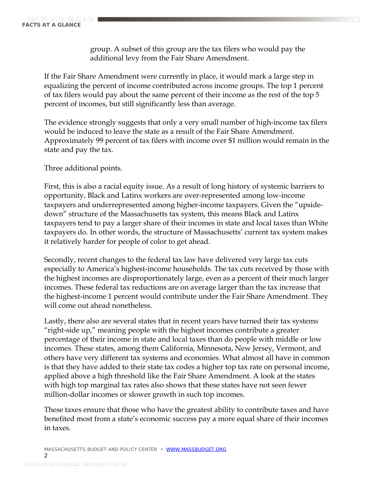group. A subset of this group are the tax filers who would pay the additional levy from the Fair Share Amendment.

If the Fair Share Amendment were currently in place, it would mark a large step in equalizing the percent of income contributed across income groups. The top 1 percent of tax filers would pay about the same percent of their income as the rest of the top 5 percent of incomes, but still significantly less than average.

The evidence strongly suggests that only a very small number of high-income tax filers would be induced to leave the state as a result of the Fair Share Amendment. Approximately 99 percent of tax filers with income over \$1 million would remain in the state and pay the tax.

Three additional points.

First, this is also a racial equity issue. As a result of long history of systemic barriers to opportunity, Black and Latinx workers are over-represented among low-income taxpayers and underrepresented among higher-income taxpayers. Given the "upsidedown" structure of the Massachusetts tax system, this means Black and Latinx taxpayers tend to pay a larger share of their incomes in state and local taxes than White taxpayers do. In other words, the structure of Massachusetts' current tax system makes it relatively harder for people of color to get ahead.

Secondly, recent changes to the federal tax law have delivered very large tax cuts especially to America's highest-income households. The tax cuts received by those with the highest incomes are disproportionately large, even as a percent of their much larger incomes. These federal tax reductions are on average larger than the tax increase that the highest-income 1 percent would contribute under the Fair Share Amendment. They will come out ahead nonetheless.

Lastly, there also are several states that in recent years have turned their tax systems "right-side up," meaning people with the highest incomes contribute a greater percentage of their income in state and local taxes than do people with middle or low incomes. These states, among them California, Minnesota, New Jersey, Vermont, and others have very different tax systems and economies. What almost all have in common is that they have added to their state tax codes a higher top tax rate on personal income, applied above a high threshold like the Fair Share Amendment. A look at the states with high top marginal tax rates also shows that these states have not seen fewer million-dollar incomes or slower growth in such top incomes.

These taxes ensure that those who have the greatest ability to contribute taxes and have benefited most from a state's economic success pay a more equal share of their incomes in taxes.